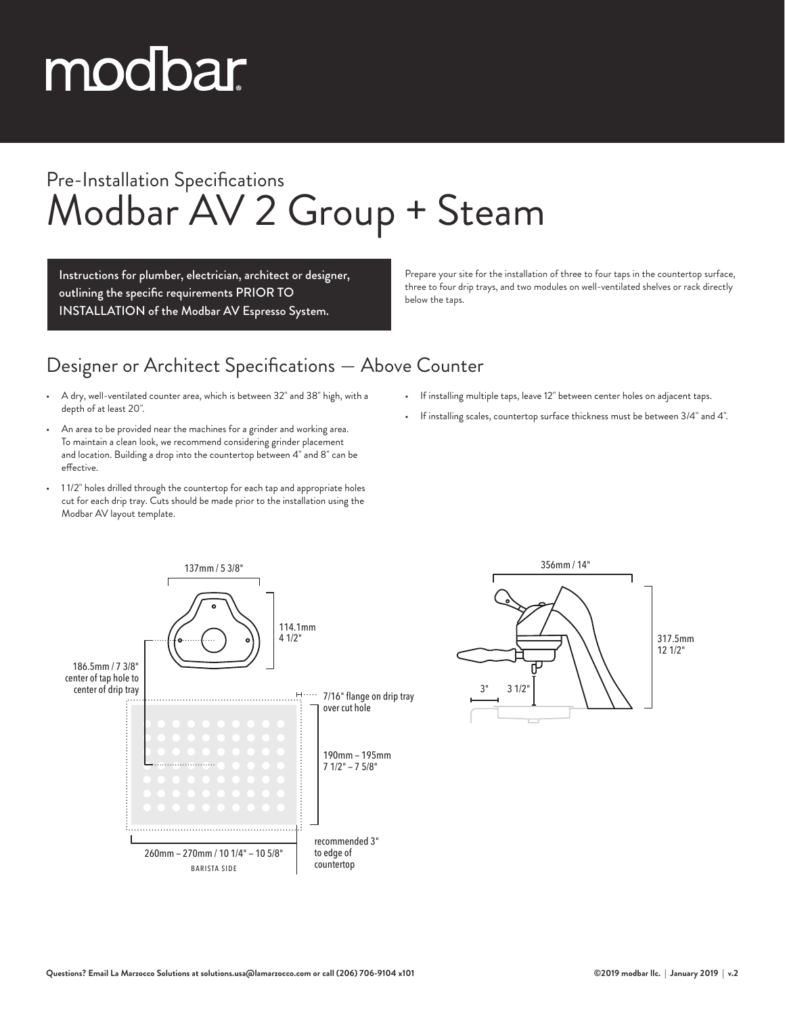# modbar

### Pre-Installation Specifications Modbar AV 2 Group + Steam

Instructions for plumber, electrician, architect or designer, outlining the specific requirements PRIOR TO INSTALLATION of the Modbar AV Espresso System.

Prepare your site for the installation of three to four taps in the countertop surface, three to four drip trays, and two modules on well-ventilated shelves or rack directly below the taps.

#### Designer or Architect Specifications — Above Counter

- A dry, well-ventilated counter area, which is between 32" and 38" high, with a depth of at least 20".
- An area to be provided near the machines for a grinder and working area. To maintain a clean look, we recommend considering grinder placement and location. Building a drop into the countertop between 4" and 8" can be effective.
- 1 1/2" holes drilled through the countertop for each tap and appropriate holes cut for each drip tray. Cuts should be made prior to the installation using the Modbar AV layout template.
- If installing multiple taps, leave 12" between center holes on adjacent taps.
- If installing scales, countertop surface thickness must be between 3/4" and 4".



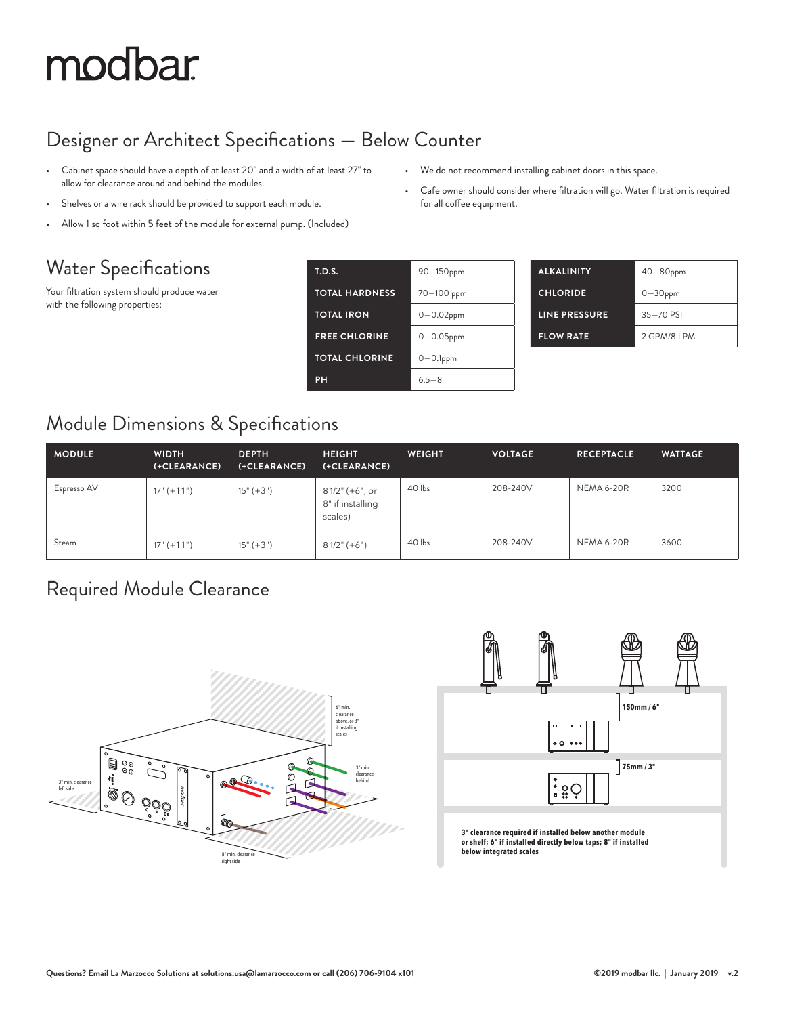## modbar

#### Designer or Architect Specifications — Below Counter

- Cabinet space should have a depth of at least 20" and a width of at least 27" to allow for clearance around and behind the modules.
- Shelves or a wire rack should be provided to support each module.
- Allow 1 sq foot within 5 feet of the module for external pump. (Included)

#### Water Specifications

Your filtration system should produce water with the following properties:

| <b>T.D.S.</b>         | 90-150ppm      |
|-----------------------|----------------|
| <b>TOTAL HARDNESS</b> | 70-100 ppm     |
| <b>TOTAL IRON</b>     | $0 - 0.02$ ppm |
| <b>FREE CHLORINE</b>  | $0 - 0.05$ ppm |
| <b>TOTAL CHLORINE</b> | $0 - 0.1$ ppm  |
| PH                    | $65 - 8$       |

| <b>ALKALINITY</b> | $40 - 80$ ppm |  |  |  |
|-------------------|---------------|--|--|--|
| <b>CHLORIDE</b>   | $0 - 30$ ppm  |  |  |  |
| LINE PRESSURE     | 35-70 PSI     |  |  |  |
| <b>FLOW RATE</b>  | 2 GPM/8 LPM   |  |  |  |

#### Module Dimensions & Specifications

| <b>MODULE</b> | <b>WIDTH</b><br>(+CLEARANCE) | <b>DEPTH</b><br>(+CLEARANCE) | <b>HEIGHT</b><br>(+CLEARANCE)                  | <b>WEIGHT</b> | <b>VOLTAGE</b> | <b>RECEPTACLE</b> | <b>WATTAGE</b> |
|---------------|------------------------------|------------------------------|------------------------------------------------|---------------|----------------|-------------------|----------------|
| Espresso AV   | $17" (+11")$                 | $15" (+3")$                  | 8 1/2" (+6", or<br>8" if installing<br>scales) | 40 lbs        | 208-240V       | <b>NEMA 6-20R</b> | 3200           |
| Steam         | $17" (+11")$                 | $15" (+3")$                  | $81/2$ " (+6")                                 | 40 lbs        | 208-240V       | NEMA 6-20R        | 3600           |

#### Required Module Clearance





**3" clearance required if installed below another module or shelf; 6" if installed directly below taps; 8" if installed below integrated scales**

• Cafe owner should consider where filtration will go. Water filtration is required for all coffee equipment.

• We do not recommend installing cabinet doors in this space.